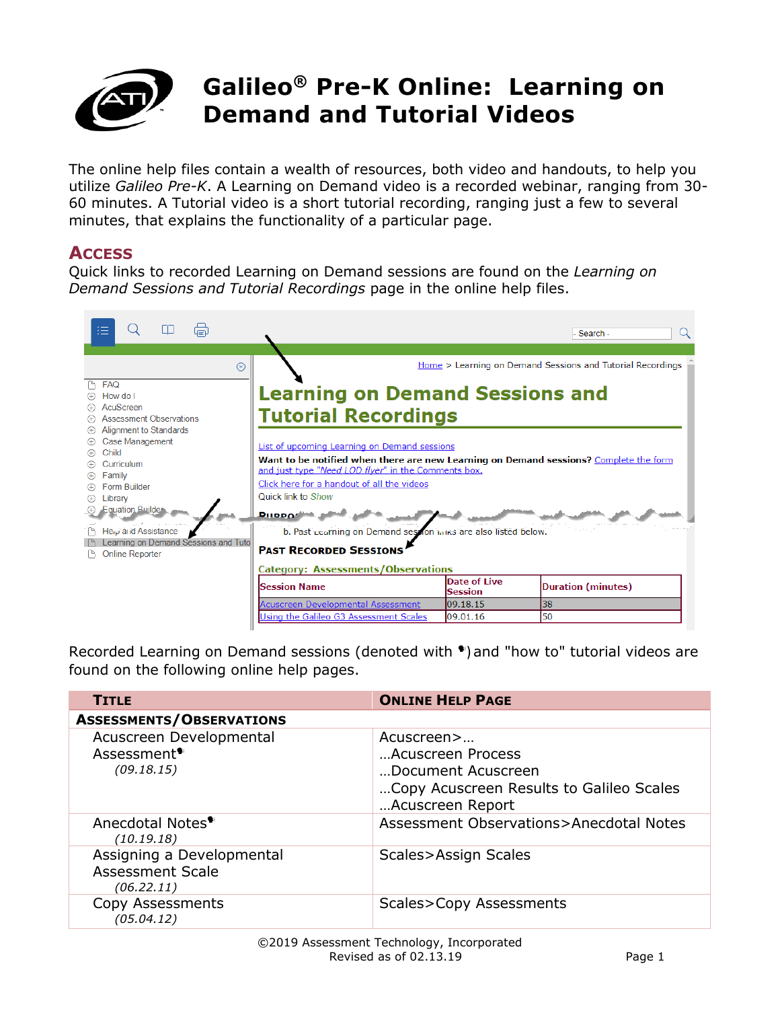

The online help files contain a wealth of resources, both video and handouts, to help you utilize *Galileo Pre-K*. A Learning on Demand video is a recorded webinar, ranging from 30- 60 minutes. A Tutorial video is a short tutorial recording, ranging just a few to several minutes, that explains the functionality of a particular page.

## **ACCESS**

Quick links to recorded Learning on Demand sessions are found on the *Learning on Demand Sessions and Tutorial Recordings* page in the online help files.

| 這<br>.                                                                                                                                                                                                                                                                                                                        |                                                                                                                                                                                                                                                                                                                                                                                                                                                                                                                                     |                                       | - Search -                                                                              |
|-------------------------------------------------------------------------------------------------------------------------------------------------------------------------------------------------------------------------------------------------------------------------------------------------------------------------------|-------------------------------------------------------------------------------------------------------------------------------------------------------------------------------------------------------------------------------------------------------------------------------------------------------------------------------------------------------------------------------------------------------------------------------------------------------------------------------------------------------------------------------------|---------------------------------------|-----------------------------------------------------------------------------------------|
| $\circledR$<br><b>FAQ</b><br>How do I<br>AcuScreen<br><b>Assessment Observations</b><br>Alignment to Standards<br>Case Management<br>Child<br>Curriculum<br>Family<br>Form Builder<br>Library<br><b>Equation Builder</b><br>He <sub>iv</sub> and Assistance<br>Learning on Demand Sessions and Tuto<br><b>Online Reporter</b> | <b>Learning on Demand Sessions and</b><br><b>Tutorial Recordings</b><br>List of upcoming Learning on Demand sessions<br>Want to be notified when there are new Learning on Demand sessions? Complete the form<br>and just type "Need LOD flyer" in the Comments box.<br>Click here for a handout of all the videos<br>Quick link to Show<br><b>PILOPOSE</b><br>b. Past Learning on Demand session harks are also listed below.<br><b>PAST RECORDED SESSIONS</b><br><b>Category: Assessments/Observations</b><br><b>Session Name</b> | <b>Date of Live</b><br><b>Session</b> | Home > Learning on Demand Sessions and Tutorial Recordings<br><b>Duration (minutes)</b> |
|                                                                                                                                                                                                                                                                                                                               | <b>Acuscreen Developmental Assessment</b><br>Using the Galileo G3 Assessment Scales                                                                                                                                                                                                                                                                                                                                                                                                                                                 | 09.18.15<br>09.01.16                  | 38<br>50                                                                                |
|                                                                                                                                                                                                                                                                                                                               |                                                                                                                                                                                                                                                                                                                                                                                                                                                                                                                                     |                                       |                                                                                         |

Recorded Learning on Demand sessions (denoted with  $\bullet$ ) and "how to" tutorial videos are found on the following online help pages.

| <b>TITLE</b>                                                       | <b>ONLINE HELP PAGE</b>                                                                                               |
|--------------------------------------------------------------------|-----------------------------------------------------------------------------------------------------------------------|
| <b>ASSESSMENTS/OBSERVATIONS</b>                                    |                                                                                                                       |
| Acuscreen Developmental<br>Assessment <sup>*</sup><br>(09.18.15)   | Acuscreen><br>Acuscreen Process<br>Document Acuscreen<br>Copy Acuscreen Results to Galileo Scales<br>Acuscreen Report |
| Anecdotal Notes <sup>•</sup><br>(10.19.18)                         | Assessment Observations>Anecdotal Notes                                                                               |
| Assigning a Developmental<br><b>Assessment Scale</b><br>(06.22.11) | Scales>Assign Scales                                                                                                  |
| Copy Assessments<br>(05.04.12)                                     | Scales>Copy Assessments                                                                                               |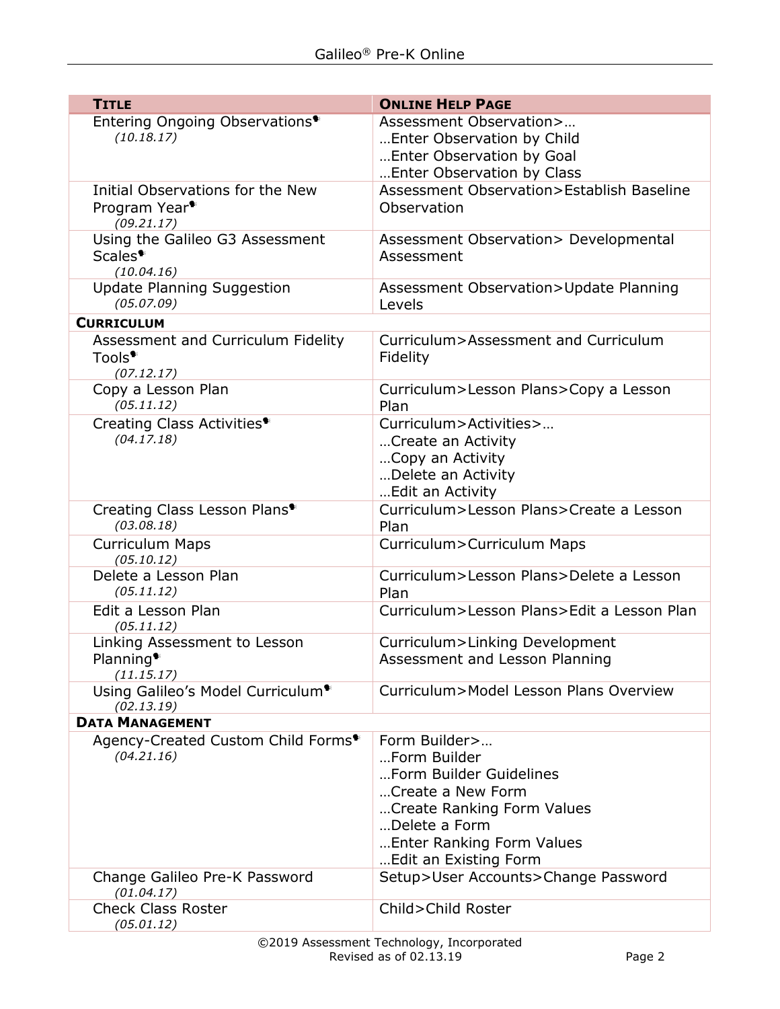| <b>TITLE</b>                                                              | <b>ONLINE HELP PAGE</b>                                                                                                                                                            |  |  |  |
|---------------------------------------------------------------------------|------------------------------------------------------------------------------------------------------------------------------------------------------------------------------------|--|--|--|
| Entering Ongoing Observations <sup>*</sup><br>(10.18.17)                  | Assessment Observation><br>Enter Observation by Child<br>Enter Observation by Goal<br>Enter Observation by Class                                                                   |  |  |  |
| Initial Observations for the New                                          | Assessment Observation>Establish Baseline                                                                                                                                          |  |  |  |
| Program Year <sup>•</sup><br>(09.21.17)                                   | Observation                                                                                                                                                                        |  |  |  |
| Using the Galileo G3 Assessment<br>Scales <sup>*</sup><br>(10.04.16)      | Assessment Observation> Developmental<br>Assessment                                                                                                                                |  |  |  |
| <b>Update Planning Suggestion</b><br>(05.07.09)                           | Assessment Observation>Update Planning<br>Levels                                                                                                                                   |  |  |  |
| <b>CURRICULUM</b>                                                         |                                                                                                                                                                                    |  |  |  |
| Assessment and Curriculum Fidelity<br>Tools <sup>*</sup><br>(07.12.17)    | Curriculum>Assessment and Curriculum<br>Fidelity                                                                                                                                   |  |  |  |
| Copy a Lesson Plan<br>(05.11.12)                                          | Curriculum>Lesson Plans>Copy a Lesson<br>Plan                                                                                                                                      |  |  |  |
| Creating Class Activities <sup>*</sup><br>(04.17.18)                      | Curriculum>Activities><br>Create an Activity<br>Copy an Activity<br>Delete an Activity<br>Edit an Activity                                                                         |  |  |  |
| Creating Class Lesson Plans <sup>®</sup><br>(03.08.18)                    | Curriculum>Lesson Plans>Create a Lesson<br>Plan                                                                                                                                    |  |  |  |
| <b>Curriculum Maps</b><br>(05.10.12)                                      | Curriculum>Curriculum Maps                                                                                                                                                         |  |  |  |
| Delete a Lesson Plan<br>(05.11.12)                                        | Curriculum>Lesson Plans>Delete a Lesson<br>Plan                                                                                                                                    |  |  |  |
| Edit a Lesson Plan<br>(05.11.12)                                          | Curriculum>Lesson Plans>Edit a Lesson Plan                                                                                                                                         |  |  |  |
| Linking Assessment to Lesson<br>Planning <sup>*</sup>                     | Curriculum>Linking Development<br>Assessment and Lesson Planning                                                                                                                   |  |  |  |
| (11.15.17)<br>Using Galileo's Model Curriculum <sup>®</sup><br>(02.13.19) | Curriculum>Model Lesson Plans Overview                                                                                                                                             |  |  |  |
| <b>DATA MANAGEMENT</b>                                                    |                                                                                                                                                                                    |  |  |  |
| Agency-Created Custom Child Forms <sup>®</sup><br>(04.21.16)              | Form Builder><br>Form Builder<br>Form Builder Guidelines<br>Create a New Form<br>Create Ranking Form Values<br>Delete a Form<br>Enter Ranking Form Values<br>Edit an Existing Form |  |  |  |
| Change Galileo Pre-K Password<br>(01.04.17)                               | Setup>User Accounts>Change Password                                                                                                                                                |  |  |  |
| <b>Check Class Roster</b><br>(05.01.12)                                   | Child>Child Roster                                                                                                                                                                 |  |  |  |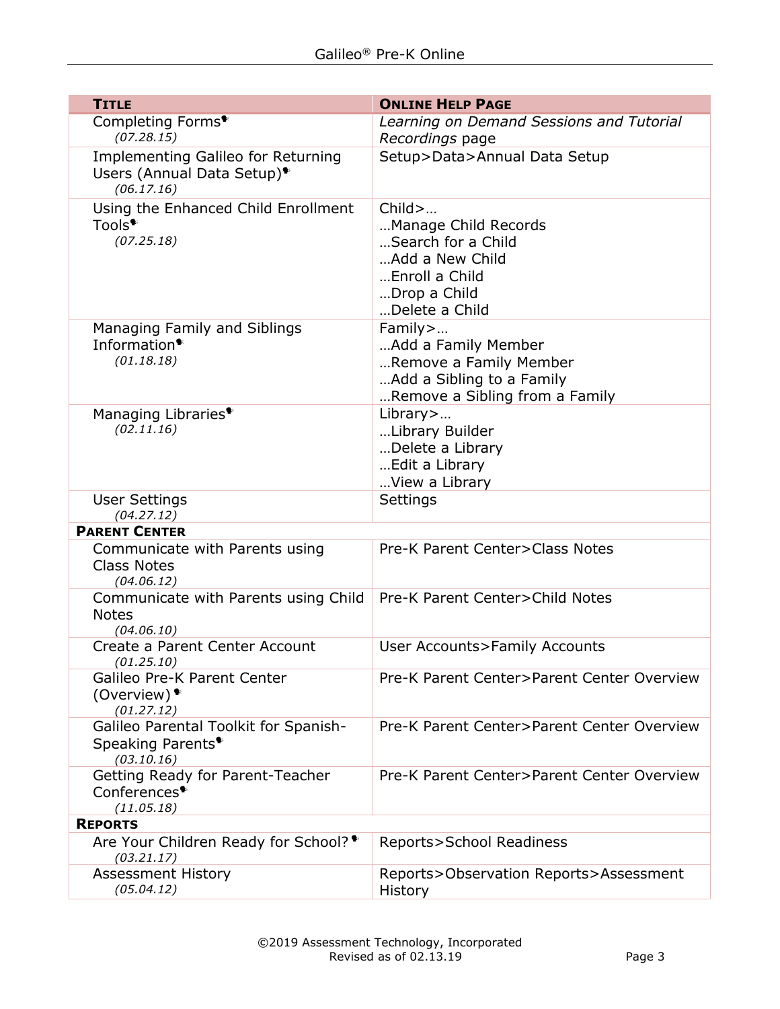| <b>TITLE</b>                                                                         | <b>ONLINE HELP PAGE</b>                                  |  |  |
|--------------------------------------------------------------------------------------|----------------------------------------------------------|--|--|
| Completing Forms <sup>*</sup>                                                        | Learning on Demand Sessions and Tutorial                 |  |  |
| (07.28.15)<br><b>Implementing Galileo for Returning</b>                              | Recordings page<br>Setup>Data>Annual Data Setup          |  |  |
| Users (Annual Data Setup) <sup>*</sup><br>(06.17.16)                                 |                                                          |  |  |
| Using the Enhanced Child Enrollment<br>Tools <sup>•</sup>                            | $Child$ $\overline{\phantom{A}}$<br>Manage Child Records |  |  |
| (07.25.18)                                                                           | Search for a Child                                       |  |  |
|                                                                                      | Add a New Child                                          |  |  |
|                                                                                      | Enroll a Child<br>Drop a Child                           |  |  |
|                                                                                      | Delete a Child                                           |  |  |
| Managing Family and Siblings                                                         | Family>                                                  |  |  |
| Information <sup>*</sup><br>(01.18.18)                                               | Add a Family Member<br>Remove a Family Member            |  |  |
|                                                                                      | Add a Sibling to a Family                                |  |  |
|                                                                                      | Remove a Sibling from a Family                           |  |  |
| Managing Libraries <sup>*</sup><br>(02.11.16)                                        | Library>                                                 |  |  |
|                                                                                      | Library Builder<br>Delete a Library                      |  |  |
|                                                                                      | Edit a Library                                           |  |  |
|                                                                                      | View a Library                                           |  |  |
| <b>User Settings</b><br>(04.27.12)                                                   | Settings                                                 |  |  |
| <b>PARENT CENTER</b>                                                                 |                                                          |  |  |
| Communicate with Parents using<br><b>Class Notes</b>                                 | Pre-K Parent Center>Class Notes                          |  |  |
| (04.06.12)<br>Communicate with Parents using Child                                   | Pre-K Parent Center>Child Notes                          |  |  |
| <b>Notes</b><br>(04.06.10)                                                           |                                                          |  |  |
| Create a Parent Center Account<br>(01.25.10)                                         | <b>User Accounts&gt;Family Accounts</b>                  |  |  |
| Galileo Pre-K Parent Center<br>(Overview) $\bullet$                                  | Pre-K Parent Center>Parent Center Overview               |  |  |
| (01.27.12)                                                                           |                                                          |  |  |
| Galileo Parental Toolkit for Spanish-<br>Speaking Parents <sup>*</sup><br>(03.10.16) | Pre-K Parent Center>Parent Center Overview               |  |  |
| Getting Ready for Parent-Teacher                                                     | Pre-K Parent Center>Parent Center Overview               |  |  |
| Conferences <sup>*</sup><br>(11.05.18)                                               |                                                          |  |  |
| <b>REPORTS</b>                                                                       |                                                          |  |  |
| Are Your Children Ready for School? <sup>●</sup><br>(03.21.17)                       | Reports>School Readiness                                 |  |  |
| <b>Assessment History</b><br>(05.04.12)                                              | Reports>Observation Reports>Assessment<br><b>History</b> |  |  |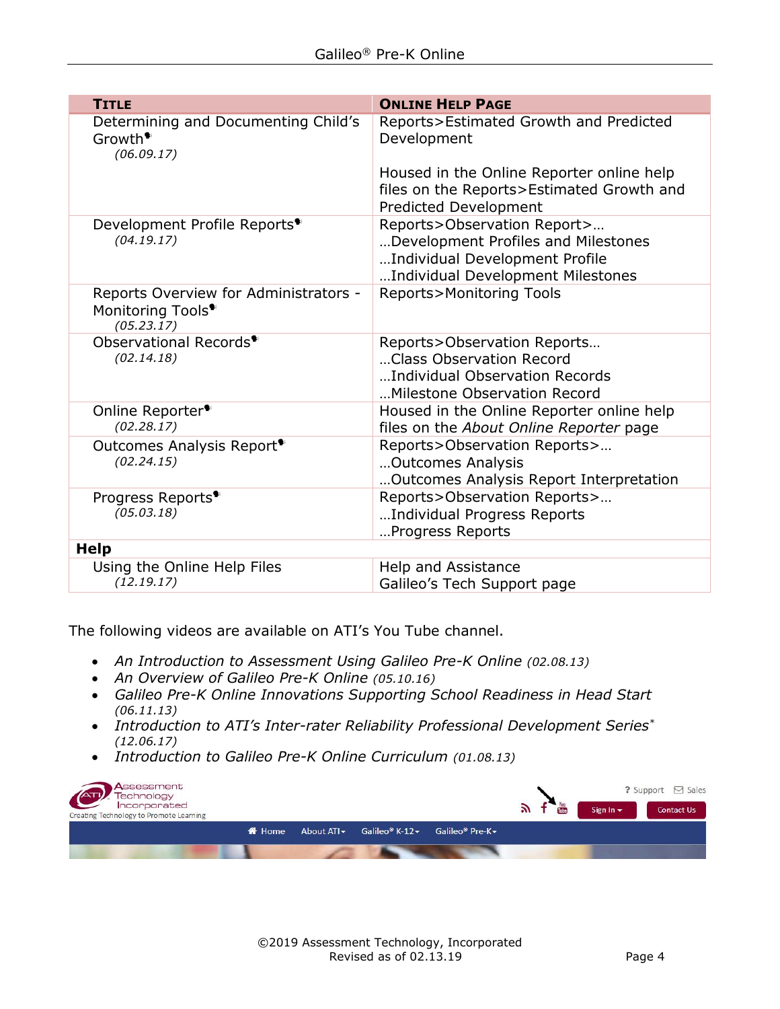| <b>TITLE</b>                                                                         | <b>ONLINE HELP PAGE</b>                                                                                                                   |
|--------------------------------------------------------------------------------------|-------------------------------------------------------------------------------------------------------------------------------------------|
| Determining and Documenting Child's<br>Growth <sup>*</sup><br>(06.09.17)             | Reports>Estimated Growth and Predicted<br>Development                                                                                     |
|                                                                                      | Housed in the Online Reporter online help<br>files on the Reports>Estimated Growth and<br><b>Predicted Development</b>                    |
| Development Profile Reports <sup>●</sup><br>(04.19.17)                               | Reports>Observation Report><br>Development Profiles and Milestones<br>Individual Development Profile<br>Individual Development Milestones |
| Reports Overview for Administrators -<br>Monitoring Tools <sup>*</sup><br>(05.23.17) | <b>Reports&gt;Monitoring Tools</b>                                                                                                        |
| Observational Records <sup>●</sup><br>(02.14.18)                                     | Reports>Observation Reports<br>Class Observation Record<br>Individual Observation Records<br>Milestone Observation Record                 |
| Online Reporter <sup>*</sup><br>(02.28.17)                                           | Housed in the Online Reporter online help<br>files on the About Online Reporter page                                                      |
| Outcomes Analysis Report <sup>*</sup><br>(02.24.15)                                  | Reports>Observation Reports><br>Outcomes Analysis<br>Outcomes Analysis Report Interpretation                                              |
| Progress Reports <sup>●</sup><br>(05.03.18)                                          | Reports>Observation Reports><br>Individual Progress Reports<br>Progress Reports                                                           |
| <b>Help</b>                                                                          |                                                                                                                                           |
| Using the Online Help Files<br>(12.19.17)                                            | Help and Assistance<br>Galileo's Tech Support page                                                                                        |

The following videos are available on ATI's You Tube channel.

- *An Introduction to Assessment Using Galileo Pre-K Online (02.08.13)*
- *An Overview of Galileo Pre-K Online (05.10.16)*
- *Galileo Pre-K Online Innovations Supporting School Readiness in Head Start (06.11.13)*
- *Introduction to ATI's Inter-rater Reliability Professional Development Series\* (12.06.17)*
- *Introduction to Galileo Pre-K Online Curriculum (01.08.13)*